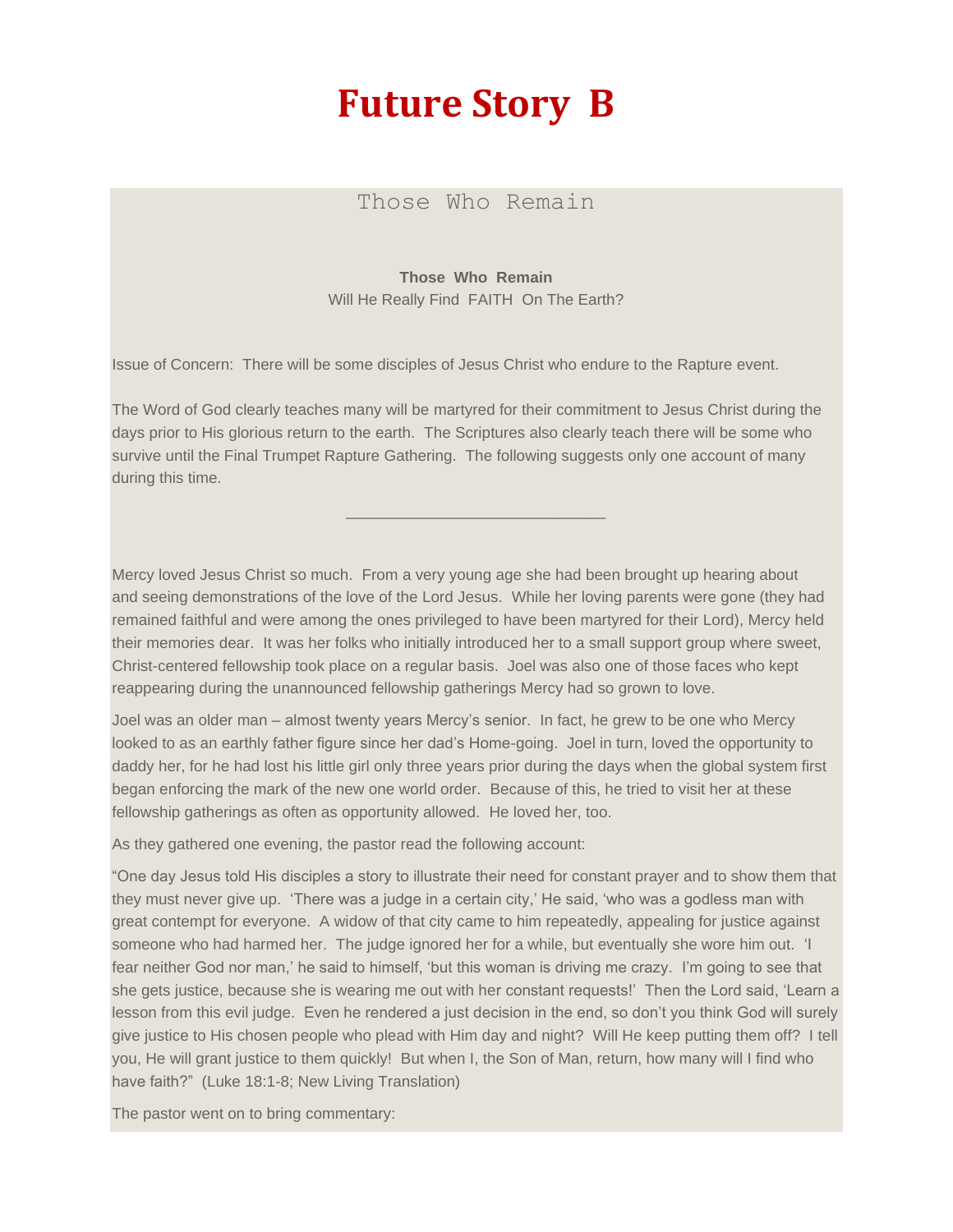## **Future Story B**

Those Who Remain

**Those Who Remain** Will He Really Find FAITH On The Earth?

Issue of Concern: There will be some disciples of Jesus Christ who endure to the Rapture event.

The Word of God clearly teaches many will be martyred for their commitment to Jesus Christ during the days prior to His glorious return to the earth. The Scriptures also clearly teach there will be some who survive until the Final Trumpet Rapture Gathering. The following suggests only one account of many during this time.

\_\_\_\_\_\_\_\_\_\_\_\_\_\_\_\_\_\_\_\_\_\_\_\_\_\_\_\_\_\_

Mercy loved Jesus Christ so much. From a very young age she had been brought up hearing about and seeing demonstrations of the love of the Lord Jesus. While her loving parents were gone (they had remained faithful and were among the ones privileged to have been martyred for their Lord), Mercy held their memories dear. It was her folks who initially introduced her to a small support group where sweet, Christ-centered fellowship took place on a regular basis. Joel was also one of those faces who kept reappearing during the unannounced fellowship gatherings Mercy had so grown to love.

Joel was an older man – almost twenty years Mercy's senior. In fact, he grew to be one who Mercy looked to as an earthly father figure since her dad's Home-going. Joel in turn, loved the opportunity to daddy her, for he had lost his little girl only three years prior during the days when the global system first began enforcing the mark of the new one world order. Because of this, he tried to visit her at these fellowship gatherings as often as opportunity allowed. He loved her, too.

As they gathered one evening, the pastor read the following account:

"One day Jesus told His disciples a story to illustrate their need for constant prayer and to show them that they must never give up. 'There was a judge in a certain city,' He said, 'who was a godless man with great contempt for everyone. A widow of that city came to him repeatedly, appealing for justice against someone who had harmed her. The judge ignored her for a while, but eventually she wore him out. 'I fear neither God nor man,' he said to himself, 'but this woman is driving me crazy. I'm going to see that she gets justice, because she is wearing me out with her constant requests!' Then the Lord said, 'Learn a lesson from this evil judge. Even he rendered a just decision in the end, so don't you think God will surely give justice to His chosen people who plead with Him day and night? Will He keep putting them off? I tell you, He will grant justice to them quickly! But when I, the Son of Man, return, how many will I find who have faith?" (Luke 18:1-8; New Living Translation)

The pastor went on to bring commentary: